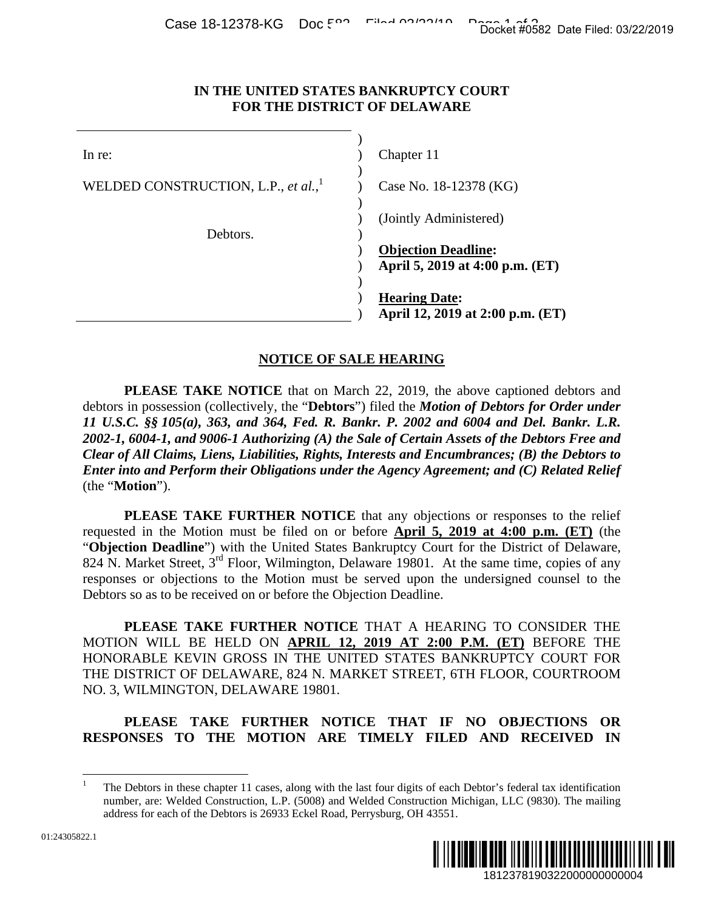## **IN THE UNITED STATES BANKRUPTCY COURT FOR THE DISTRICT OF DELAWARE**

| או-ס זה־דקים במא                                                                           | Docket #0582 Date Filed: 03/22/2019                                                                                                                                                                                                                                                                                                                                                                                                                                                                                                                                                |
|--------------------------------------------------------------------------------------------|------------------------------------------------------------------------------------------------------------------------------------------------------------------------------------------------------------------------------------------------------------------------------------------------------------------------------------------------------------------------------------------------------------------------------------------------------------------------------------------------------------------------------------------------------------------------------------|
|                                                                                            | IN THE UNITED STATES BANKRUPTCY COURT<br>FOR THE DISTRICT OF DELAWARE                                                                                                                                                                                                                                                                                                                                                                                                                                                                                                              |
| In re:                                                                                     | Chapter 11                                                                                                                                                                                                                                                                                                                                                                                                                                                                                                                                                                         |
| WELDED CONSTRUCTION, L.P., et al.,                                                         | Case No. 18-12378 (KG)                                                                                                                                                                                                                                                                                                                                                                                                                                                                                                                                                             |
| Debtors.                                                                                   | (Jointly Administered)                                                                                                                                                                                                                                                                                                                                                                                                                                                                                                                                                             |
|                                                                                            | <b>Objection Deadline:</b><br>April 5, 2019 at 4:00 p.m. (ET)                                                                                                                                                                                                                                                                                                                                                                                                                                                                                                                      |
|                                                                                            | <b>Hearing Date:</b><br>April 12, 2019 at 2:00 p.m. (ET)                                                                                                                                                                                                                                                                                                                                                                                                                                                                                                                           |
|                                                                                            | <b>NOTICE OF SALE HEARING</b>                                                                                                                                                                                                                                                                                                                                                                                                                                                                                                                                                      |
| (the "Motion").                                                                            | <b>PLEASE TAKE NOTICE</b> that on March 22, 2019, the above captioned debtors and<br>debtors in possession (collectively, the "Debtors") filed the Motion of Debtors for Order under<br>11 U.S.C. §§ 105(a), 363, and 364, Fed. R. Bankr. P. 2002 and 6004 and Del. Bankr. L.R.<br>2002-1, 6004-1, and 9006-1 Authorizing (A) the Sale of Certain Assets of the Debtors Free and<br>Clear of All Claims, Liens, Liabilities, Rights, Interests and Encumbrances; (B) the Debtors to<br>Enter into and Perform their Obligations under the Agency Agreement; and (C) Related Relief |
| Debtors so as to be received on or before the Objection Deadline.                          | PLEASE TAKE FURTHER NOTICE that any objections or responses to the relief<br>requested in the Motion must be filed on or before <b>April 5, 2019 at 4:00 p.m.</b> (ET) (the<br>"Objection Deadline") with the United States Bankruptcy Court for the District of Delaware,<br>824 N. Market Street, 3 <sup>rd</sup> Floor, Wilmington, Delaware 19801. At the same time, copies of any<br>responses or objections to the Motion must be served upon the undersigned counsel to the                                                                                                 |
| NO. 3, WILMINGTON, DELAWARE 19801.                                                         | PLEASE TAKE FURTHER NOTICE THAT A HEARING TO CONSIDER THE<br>MOTION WILL BE HELD ON APRIL 12, 2019 AT 2:00 P.M. (ET) BEFORE THE<br>HONORABLE KEVIN GROSS IN THE UNITED STATES BANKRUPTCY COURT FOR<br>THE DISTRICT OF DELAWARE, 824 N. MARKET STREET, 6TH FLOOR, COURTROOM                                                                                                                                                                                                                                                                                                         |
| <b>PLEASE</b><br>TAKE<br>RESPONSES TO THE MOTION ARE TIMELY FILED AND RECEIVED             | FURTHER NOTICE THAT IF NO OBJECTIONS<br><b>OR</b><br>IN                                                                                                                                                                                                                                                                                                                                                                                                                                                                                                                            |
| $\mathbf{1}$<br>address for each of the Debtors is 26933 Eckel Road, Perrysburg, OH 43551. | The Debtors in these chapter 11 cases, along with the last four digits of each Debtor's federal tax identification<br>number, are: Welded Construction, L.P. (5008) and Welded Construction Michigan, LLC (9830). The mailing                                                                                                                                                                                                                                                                                                                                                      |
| 322.1                                                                                      | <u> ALIMANIA KALIMANI AMBERINI A</u><br>1812378190322000000000004                                                                                                                                                                                                                                                                                                                                                                                                                                                                                                                  |

## **NOTICE OF SALE HEARING**

## **PLEASE TAKE FURTHER NOTICE THAT IF NO OBJECTIONS OR RESPONSES TO THE MOTION ARE TIMELY FILED AND RECEIVED IN**

<sup>1</sup> The Debtors in these chapter 11 cases, along with the last four digits of each Debtor's federal tax identification number, are: Welded Construction, L.P. (5008) and Welded Construction Michigan, LLC (9830). The mailing address for each of the Debtors is 26933 Eckel Road, Perrysburg, OH 43551.